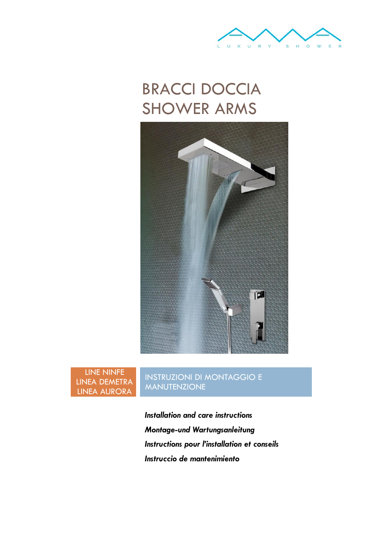

# BRACCI DOCCIA SHOWER ARMS



LINE NINFE LINEA DEMETRA LINEA AURORA

INSTRUZIONI DI MONTAGGIO E MANUTENZIONE

*Installation and care instructions Montage-und Wartungsanleitung Instructions pour l'installation et conseils Instruccio de mantenimiento*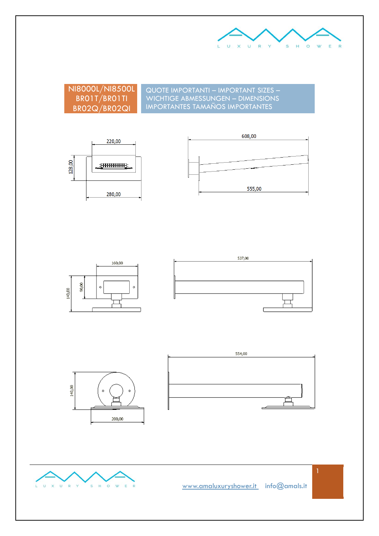

NI8000L/NI8500L BR01T/BR01TI BR02Q/BR02QI

QUOTE IMPORTANTI – IMPORTANT SIZES – WICHTIGE ABMESSUNGEN – DIMENSIONS IMPORTANTES TAMAÑOS IMPORTANTES









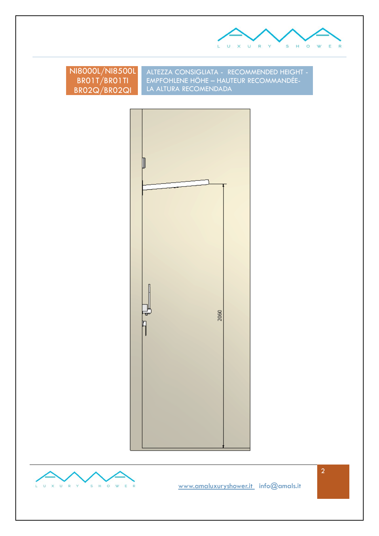

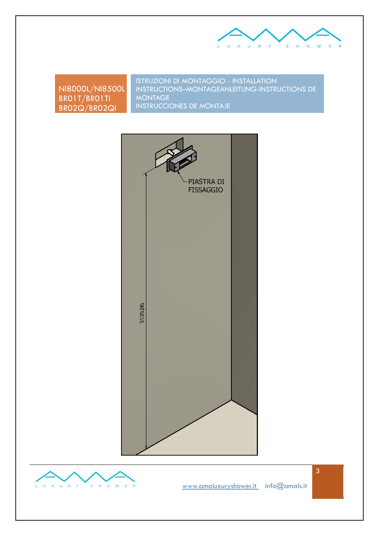

NI8000L/NI8500L BR01T/BR01TI BR02Q/BR02QI

ISTRUZIONI DI MONTAGGIO - INSTALLATION INSTRUCTIONS–MONTAGEANLEITUNG-INSTRUCTIONS DE MONTAGE INSTRUCCIONES DE MONTAJE



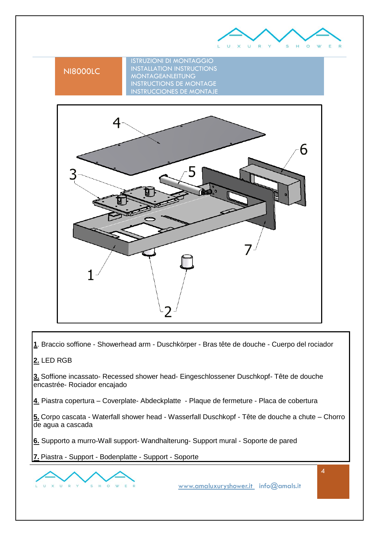

# NI8000LC

ISTRUZIONI DI MONTAGGIO INSTALLATION INSTRUCTIONS MONTAGEANLEITUNG INSTRUCTIONS DE MONTAGE INSTRUCCIONES DE MONTAJE



**1**. Braccio soffione - Showerhead arm - Duschkörper - Bras tête de douche - Cuerpo del rociador

## **2.** LED RGB

**3.** Soffione incassato- Recessed shower head- Eingeschlossener Duschkopf- Tête de douche encastrée- Rociador encajado

**4**. Piastra copertura – Coverplate- Abdeckplatte - Plaque de fermeture - Placa de cobertura

**5.** Corpo cascata - Waterfall shower head - Wasserfall Duschkopf - Tête de douche a chute – Chorro de agua a cascada

**6.** Supporto a murro-Wall support- Wandhalterung- Support mural - Soporte de pared

**7.** Piastra - Support - Bodenplatte - Support - Soporte

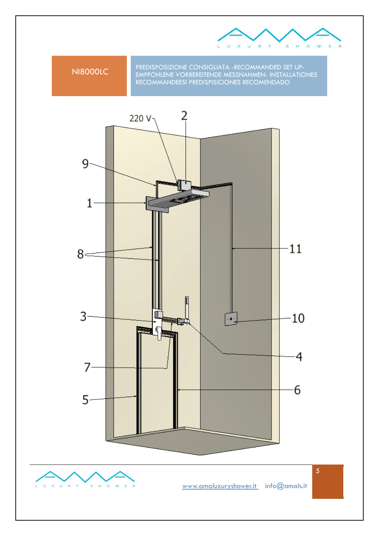

NI8000LC PREDISPOSIZIONE CONSIGLIATA -RECOMMANDED SET UP-EMPFOHLENE VORBEREITENDE MESSNAHMEN- INSTALLATIONES RECOMMANDEESI PREDISPISICIONES RECOMENDADO

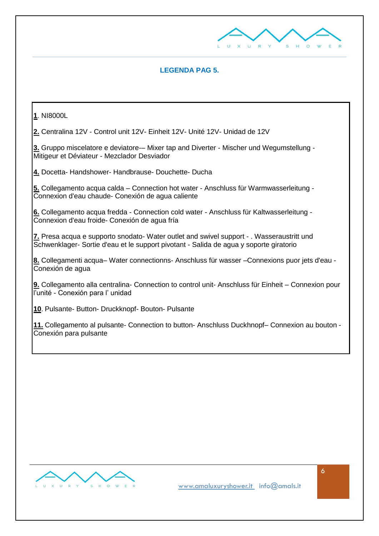

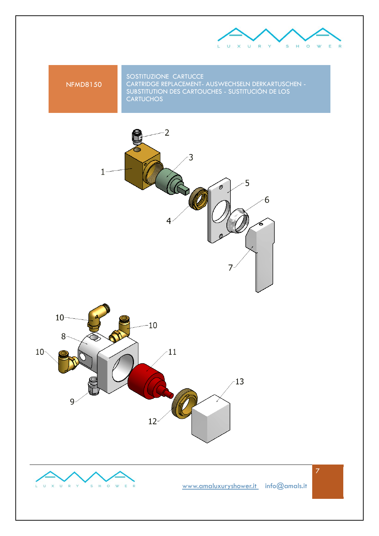



SOSTITUZIONE CARTUCCE CARTRIDGE REPLACEMENT- AUSWECHSELN DERKARTUSCHEN - SUBSTITUTION DES CARTOUCHES - SUSTITUCIÓN DE LOS **CARTUCHOS** 







[www.amaluxuryshower.](http://www.amaluxurishower/)it info@amals.it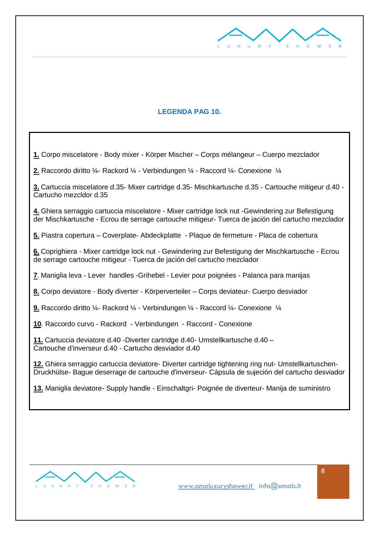

## **LEGENDA PAG 10.**

**1.** Corpo miscelatore - Body mixer - Körper Mischer – Corps mélangeur – Cuerpo mezclador

**2.** Raccordo diritto ¼- Rackord ¼ - Verbindungen ¼ - Raccord ¼- Conexione ¼

**3.** Cartuccia miscelatore d.35- Mixer cartridge d.35- Mischkartusche d.35 - Cartouche mitigeur d.40 - Cartucho mezcldor d.35

**4.** Ghiera serraggio cartuccia miscelatore - Mixer cartridge lock nut -Gewindering zur Befestigung der Mischkartusche - Ecrou de serrage cartouche mitigeur- Tuerca de jación del cartucho mezclador

**5.** Piastra copertura – Coverplate- Abdeckplatte - Plaque de fermeture - Placa de cobertura

**6.** Coprighiera - Mixer cartridge lock nut - Gewindering zur Befestigung der Mischkartusche - Ecrou de serrage cartouche mitigeur - Tuerca de jación del cartucho mezclador

**7**. Maniglia leva - Lever handles -Grihebel - Levier pour poignées - Palanca para manijas

**8.** Corpo deviatore - Body diverter - Körperverteiler – Corps deviateur- Cuerpo desviador

**9.** Raccordo diritto ¼- Rackord ¼ - Verbindungen ¼ - Raccord ¼- Conexione ¼

**10**. Raccordo curvo - Rackord - Verbindungen - Raccord - Conexione

**11.** Cartuccia deviatore d.40 -Diverter cartridge d.40- Umstellkartusche d.40 – Cartouche d'inverseur d.40 - Cartucho desviador d.40

**12.** Ghiera serraggio cartuccia deviatore- Diverter cartridge tightening ring nut- Umstellkartuschen-Druckhülse- Bague deserrage de cartouche d'inverseur- Cápsula de sujeción del cartucho desviador

**13.** Maniglia deviatore- Supply handle - Einschaltgri- Poignée de diverteur- Manija de suministro

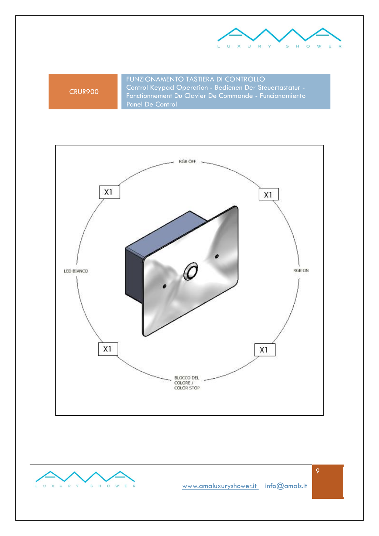

CRUR900

FUNZIONAMENTO TASTIERA DI CONTROLLO Control Keypad Operation - Bedienen Der Steuertastatur - Fonctionnement Du Clavier De Commande - Funcionamiento Panel De Control



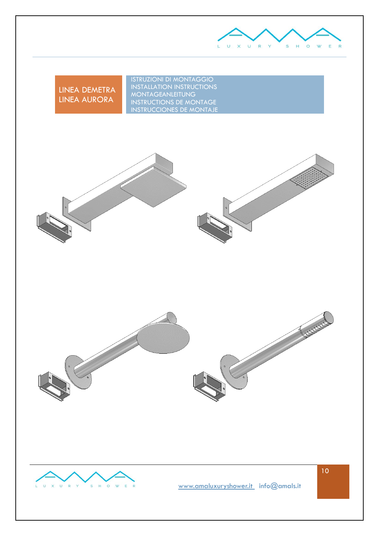

LINEA DEMETRA LINEA AURORA

ISTRUZIONI DI MONTAGGIO INSTALLATION INSTRUCTIONS MONTAGEANLEITUNG INSTRUCTIONS DE MONTAGE INSTRUCCIONES DE MONTAJE







[www.amaluxuryshower.](http://www.amaluxurishower/)it info@amals.it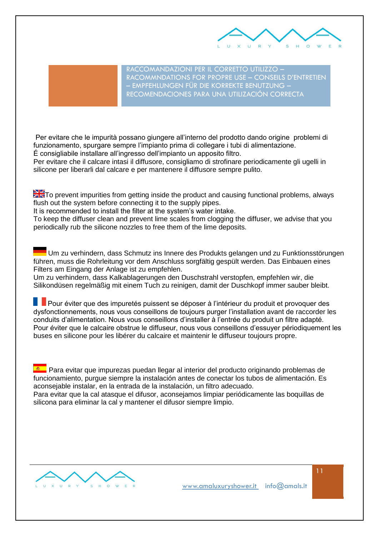

RACCOMANDAZIONI PER IL CORRETTO UTILIZZO – RACOMMNDATIONS FOR PROPRE USE – CONSEILS D'ENTRETIEN – EMPFEHLUNGEN FÜR DIE KORREKTE BENUTZUNG – RECOMENDACIONES PARA UNA UTILIZACIÓN CORRECTA

Per evitare che le impurità possano giungere all'interno del prodotto dando origine problemi di funzionamento, spurgare sempre l'impianto prima di collegare i tubi di alimentazione. É consigliabile installare all'ingresso dell'impianto un apposito filtro.

Per evitare che il calcare intasi il diffusore, consigliamo di strofinare periodicamente gli ugelli in silicone per liberarli dal calcare e per mantenere il diffusore sempre pulito.

**The T**o prevent impurities from getting inside the product and causing functional problems, always flush out the system before connecting it to the supply pipes.

It is recommended to install the filter at the system's water intake.

To keep the diffuser clean and prevent lime scales from clogging the diffuser, we advise that you periodically rub the silicone nozzles to free them of the lime deposits.

Um zu verhindern, dass Schmutz ins Innere des Produkts gelangen und zu Funktionsstörungen führen, muss die Rohrleitung vor dem Anschluss sorgfältig gespült werden. Das Einbauen eines Filters am Eingang der Anlage ist zu empfehlen.

Um zu verhindern, dass Kalkablagerungen den Duschstrahl verstopfen, empfehlen wir, die Silikondüsen regelmäßig mit einem Tuch zu reinigen, damit der Duschkopf immer sauber bleibt.

Pour éviter que des impuretés puissent se déposer à l'intérieur du produit et provoquer des dysfonctionnements, nous vous conseillons de toujours purger l'installation avant de raccorder les conduits d'alimentation. Nous vous conseillons d'installer à l'entrée du produit un filtre adapté. Pour éviter que le calcaire obstrue le diffuseur, nous vous conseillons d'essuyer périodiquement les buses en silicone pour les libérer du calcaire et maintenir le diffuseur toujours propre.

**Para evitar que impurezas puedan llegar al interior del producto originando problemas de** funcionamiento, purgue siempre la instalación antes de conectar los tubos de alimentación. Es aconsejable instalar, en la entrada de la instalación, un filtro adecuado.

Para evitar que la cal atasque el difusor, aconsejamos limpiar periódicamente las boquillas de silicona para eliminar la cal y mantener el difusor siempre limpio.

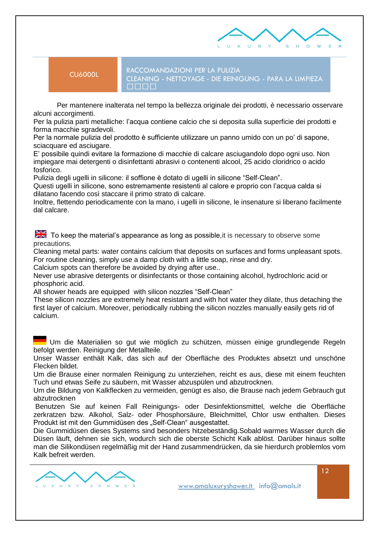

CU6000L RACCOMANDAZIONI PER LA PULIZIA CLEANING - NETTOYAGE - DIE REINIGUNG - PARA LA LIMPIEZA

 Per mantenere inalterata nel tempo la bellezza originale dei prodotti, è necessario osservare alcuni accorgimenti.

Per la pulizia parti metalliche: l'acqua contiene calcio che si deposita sulla superficie dei prodotti e forma macchie sgradevoli.

Per la normale pulizia del prodotto è sufficiente utilizzare un panno umido con un po' di sapone, sciacquare ed asciugare.

E' possibile quindi evitare la formazione di macchie di calcare asciugandolo dopo ogni uso. Non impiegare mai detergenti o disinfettanti abrasivi o contenenti alcool, 25 acido cloridrico o acido fosforico.

Pulizia degli ugelli in silicone: il soffione è dotato di ugelli in silicone "Self-Clean".

Questi ugelli in silicone, sono estremamente resistenti al calore e proprio con l'acqua calda si dilatano facendo così staccare il primo strato di calcare.

Inoltre, flettendo periodicamente con la mano, i ugelli in silicone, le insenature si liberano facilmente dal calcare.

 $\frac{1}{2}$  To keep the material's appearance as long as possible, it is necessary to observe some precautions.

Cleaning metal parts: water contains calcium that deposits on surfaces and forms unpleasant spots. For routine cleaning, simply use a damp cloth with a little soap, rinse and dry.

Calcium spots can therefore be avoided by drying after use..

Never use abrasive detergents or disinfectants or those containing alcohol, hydrochloric acid or phosphoric acid.

All shower heads are equipped with silicon nozzles "Self-Clean"

These silicon nozzles are extremely heat resistant and with hot water they dilate, thus detaching the first layer of calcium. Moreover, periodically rubbing the silicon nozzles manually easily gets rid of calcium.

Um die Materialien so gut wie möglich zu schützen, müssen einige grundlegende Regeln befolgt werden. Reinigung der Metallteile.

Unser Wasser enthält Kalk, das sich auf der Oberfläche des Produktes absetzt und unschöne Flecken bildet.

Um die Brause einer normalen Reinigung zu unterziehen, reicht es aus, diese mit einem feuchten Tuch und etwas Seife zu säubern, mit Wasser abzuspülen und abzutrocknen.

Um die Bildung von Kalkflecken zu vermeiden, genügt es also, die Brause nach jedem Gebrauch gut abzutrocknen

Benutzen Sie auf keinen Fall Reinigungs- oder Desinfektionsmittel, welche die Oberfläche zerkratzen bzw. Alkohol, Salz- oder Phosphorsäure, Bleichmittel, Chlor usw enthalten. Dieses Produkt ist mit den Gummidüsen des "Self-Clean" ausgestattet.

Die Gummidüsen dieses Systems sind besonders hitzebeständig.Sobald warmes Wasser durch die Düsen läuft, dehnen sie sich, wodurch sich die oberste Schicht Kalk ablöst. Darüber hinaus sollte man die Silikondüsen regelmäßig mit der Hand zusammendrücken, da sie hierdurch problemlos vom Kalk befreit werden.

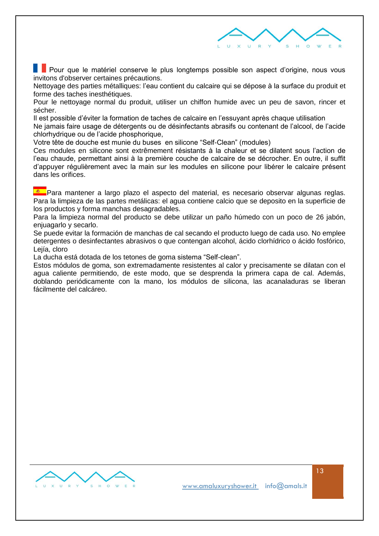

**Pour que le matériel conserve le plus longtemps possible son aspect d'origine, nous vous** invitons d'observer certaines précautions.

Nettoyage des parties métalliques: l'eau contient du calcaire qui se dépose à la surface du produit et forme des taches inesthétiques.

Pour le nettoyage normal du produit, utiliser un chiffon humide avec un peu de savon, rincer et sécher.

Il est possible d'éviter la formation de taches de calcaire en l'essuyant après chaque utilisation

Ne jamais faire usage de détergents ou de désinfectants abrasifs ou contenant de l'alcool, de l'acide chlorhydrique ou de l'acide phosphorique,

Votre tête de douche est munie du buses en silicone "Self-Clean" (modules)

Ces modules en silicone sont extrêmement résistants à la chaleur et se dilatent sous l'action de l'eau chaude, permettant ainsi à la première couche de calcaire de se décrocher. En outre, il suffit d'appuyer régulièrement avec la main sur les modules en silicone pour libérer le calcaire présent dans les orifices.

**E Para mantener a largo plazo el aspecto del material, es necesario observar algunas reglas.** Para la limpieza de las partes metálicas: el agua contiene calcio que se deposito en la superficie de los productos y forma manchas desagradables.

Para la limpieza normal del producto se debe utilizar un paño húmedo con un poco de 26 jabón, enjuagarlo y secarlo.

Se puede evitar la formación de manchas de cal secando el producto luego de cada uso. No emplee detergentes o desinfectantes abrasivos o que contengan alcohol, ácido clorhídrico o ácido fosfórico, Leiía, cloro

La ducha está dotada de los tetones de goma sistema "Self-clean".

Estos módulos de goma, son extremadamente resistentes al calor y precisamente se dilatan con el agua caliente permitiendo, de este modo, que se desprenda la primera capa de cal. Además, doblando periódicamente con la mano, los módulos de silicona, las acanaladuras se liberan fácilmente del calcáreo.

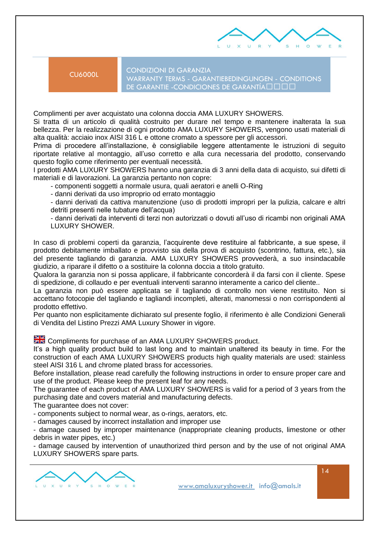

CU6000L CONDIZIONI DI GARANZIA WARRANTY TERMS - GARANTIEBEDINGUNGEN - CONDITIONS DE GARANTIE - CONDICIONES DE GARANTÍA • f • •

Complimenti per aver acquistato una colonna doccia AMA LUXURY SHOWERS.

Si tratta di un articolo di qualità costruito per durare nel tempo e mantenere inalterata la sua bellezza. Per la realizzazione di ogni prodotto AMA LUXURY SHOWERS, vengono usati materiali di alta qualità: acciaio inox AISI 316 L e ottone cromato a spessore per gli accessori.

Prima di procedere all'installazione, è consigliabile leggere attentamente le istruzioni di seguito riportate relative al montaggio, all'uso corretto e alla cura necessaria del prodotto, conservando questo foglio come riferimento per eventuali necessità.

I prodotti AMA LUXURY SHOWERS hanno una garanzia di 3 anni della data di acquisto, sui difetti di materiali e di lavorazioni. La garanzia pertanto non copre:

- componenti soggetti a normale usura, quali aeratori e anelli O-Ring

- danni derivati da uso improprio od errato montaggio

- danni derivati da cattiva manutenzione (uso di prodotti impropri per la pulizia, calcare e altri detriti presenti nelle tubature dell'acqua)

- danni derivati da interventi di terzi non autorizzati o dovuti all'uso di ricambi non originali AMA LUXURY SHOWER.

In caso di problemi coperti da garanzia, l'acquirente deve restituire al fabbricante, a sue spese, il prodotto debitamente imballato e provvisto sia della prova di acquisto (scontrino, fattura, etc.), sia del presente tagliando di garanzia. AMA LUXURY SHOWERS provvederà, a suo insindacabile giudizio, a riparare il difetto o a sostituire la colonna doccia a titolo gratuito.

Qualora la garanzia non si possa applicare, il fabbricante concorderà il da farsi con il cliente. Spese di spedizione, di collaudo e per eventuali interventi saranno interamente a carico del cliente..

La garanzia non può essere applicata se il tagliando di controllo non viene restituito. Non si accettano fotocopie del tagliando e tagliandi incompleti, alterati, manomessi o non corrispondenti al prodotto effettivo.

Per quanto non esplicitamente dichiarato sul presente foglio, il riferimento è alle Condizioni Generali di Vendita del Listino Prezzi AMA Luxury Shower in vigore.

**EX** Compliments for purchase of an AMA LUXURY SHOWERS product.

It's a high quality product build to last long and to maintain unaltered its beauty in time. For the construction of each AMA LUXURY SHOWERS products high quality materials are used: stainless steel AISI 316 L and chrome plated brass for accessories.

Before installation, please read carefully the following instructions in order to ensure proper care and use of the product. Please keep the present leaf for any needs.

The guarantee of each product of AMA LUXURY SHOWERS is valid for a period of 3 years from the purchasing date and covers material and manufacturing defects.

The guarantee does not cover:

- components subject to normal wear, as o-rings, aerators, etc.

- damages caused by incorrect installation and improper use

- damage caused by improper maintenance (inappropriate cleaning products, limestone or other debris in water pipes, etc.)

- damage caused by intervention of unauthorized third person and by the use of not original AMA LUXURY SHOWERS spare parts.

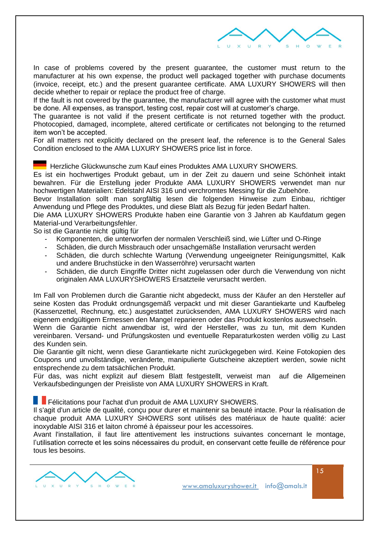

In case of problems covered by the present guarantee, the customer must return to the manufacturer at his own expense, the product well packaged together with purchase documents (invoice, receipt, etc.) and the present guarantee certificate. AMA LUXURY SHOWERS will then decide whether to repair or replace the product free of charge.

If the fault is not covered by the guarantee, the manufacturer will agree with the customer what must be done. All expenses, as transport, testing cost, repair cost will at customer's charge.

The guarantee is not valid if the present certificate is not returned together with the product. Photocopied, damaged, incomplete, altered certificate or certificates not belonging to the returned item won't be accepted.

For all matters not explicitly declared on the present leaf, the reference is to the General Sales Condition enclosed to the AMA LUXURY SHOWERS price list in force.

Herzliche Glückwunsche zum Kauf eines Produktes AMA LUXURY SHOWERS.

Es ist ein hochwertiges Produkt gebaut, um in der Zeit zu dauern und seine Schönheit intakt bewahren. Für die Erstellung jeder Produkte AMA LUXURY SHOWERS verwendet man nur hochwertigen Materialien: Edelstahl AISI 316 und verchromtes Messing für die Zubehöre.

Bevor Installation sollt man sorgfältig lesen die folgenden Hinweise zum Einbau, richtiger Anwendung und Pflege des Produktes, und diese Blatt als Bezug für jeden Bedarf halten.

Die AMA LUXURY SHOWERS Produkte haben eine Garantie von 3 Jahren ab Kaufdatum gegen Material-und Verarbeitungsfehler.

So ist die Garantie nicht gültig für

- Komponenten, die unterworfen der normalen Verschleiß sind, wie Lüfter und O-Ringe
- Schäden, die durch Missbrauch oder unsachgemäße Installation verursacht werden
- Schäden, die durch schlechte Wartung (Verwendung ungeeigneter Reinigungsmittel, Kalk und andere Bruchstücke in den Wasserröhre) verursacht warten
- Schäden, die durch Eingriffe Dritter nicht zugelassen oder durch die Verwendung von nicht originalen AMA LUXURYSHOWERS Ersatzteile verursacht werden.

Im Fall von Problemen durch die Garantie nicht abgedeckt, muss der Käufer an den Hersteller auf seine Kosten das Produkt ordnungsgemäß verpackt und mit dieser Garantiekarte und Kaufbeleg (Kassenzettel, Rechnung, etc.) ausgestattet zurücksenden, AMA LUXURY SHOWERS wird nach eigenem endgültigem Ermessen den Mangel reparieren oder das Produkt kostenlos auswechseln.

Wenn die Garantie nicht anwendbar ist, wird der Hersteller, was zu tun, mit dem Kunden vereinbaren. Versand- und Prüfungskosten und eventuelle Reparaturkosten werden völlig zu Last des Kunden sein.

Die Garantie gilt nicht, wenn diese Garantiekarte nicht zurückgegeben wird. Keine Fotokopien des Coupons und unvollständige, veränderte, manipulierte Gutscheine akzeptiert werden, sowie nicht entsprechende zu dem tatsächlichen Produkt.

Für das, was nicht explizit auf diesem Blatt festgestellt, verweist man auf die Allgemeinen Verkaufsbedingungen der Preisliste von AMA LUXURY SHOWERS in Kraft.

Félicitations pour l'achat d'un produit de AMA LUXURY SHOWERS.

Il s'agit d'un article de qualité, conçu pour durer et maintenir sa beauté intacte. Pour la réalisation de chaque produit AMA LUXURY SHOWERS sont utilisés des matériaux de haute qualité: acier inoxydable AISI 316 et laiton chromé à épaisseur pour les accessoires.

Avant l'installation, il faut lire attentivement les instructions suivantes concernant le montage, l'utilisation correcte et les soins nécessaires du produit, en conservant cette feuille de référence pour tous les besoins.